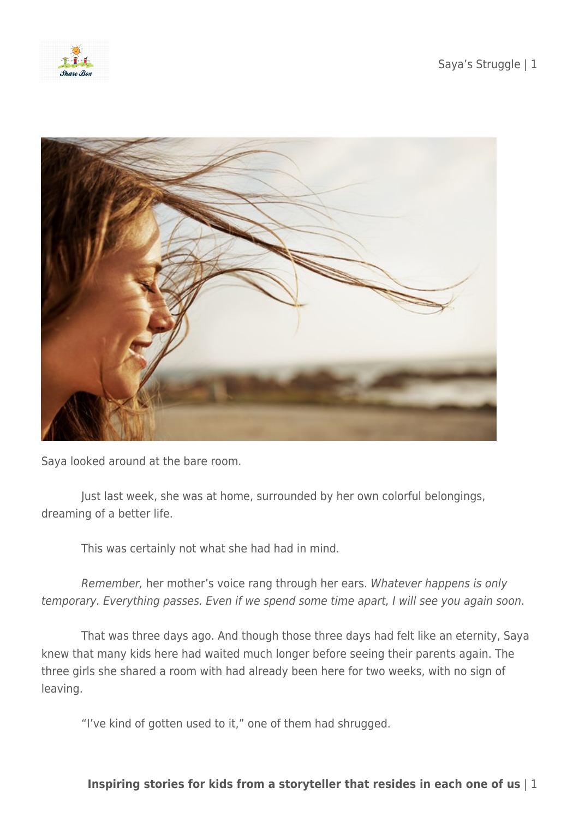



Saya looked around at the bare room.

 Just last week, she was at home, surrounded by her own colorful belongings, dreaming of a better life.

This was certainly not what she had had in mind.

 Remember, her mother's voice rang through her ears. Whatever happens is only temporary. Everything passes. Even if we spend some time apart, I will see you again soon.

 That was three days ago. And though those three days had felt like an eternity, Saya knew that many kids here had waited much longer before seeing their parents again. The three girls she shared a room with had already been here for two weeks, with no sign of leaving.

"I've kind of gotten used to it," one of them had shrugged.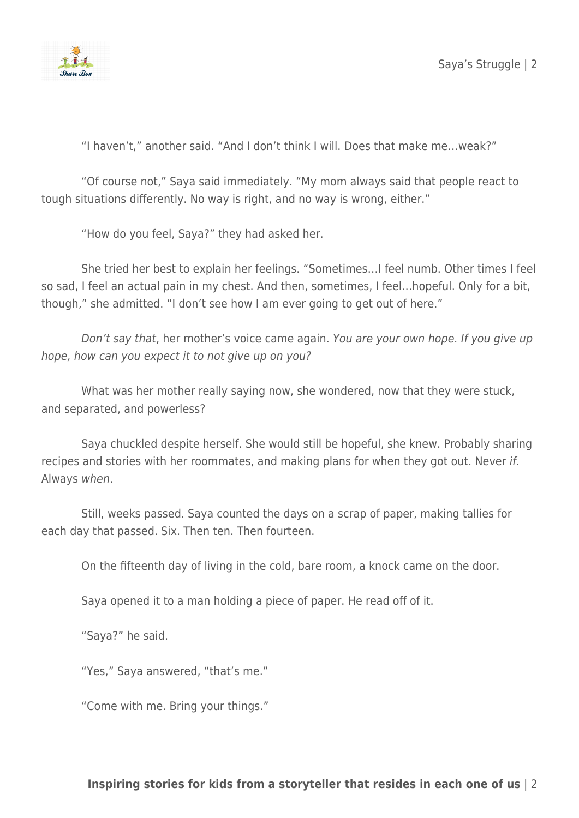

"I haven't," another said. "And I don't think I will. Does that make me…weak?"

 "Of course not," Saya said immediately. "My mom always said that people react to tough situations differently. No way is right, and no way is wrong, either."

"How do you feel, Saya?" they had asked her.

 She tried her best to explain her feelings. "Sometimes…I feel numb. Other times I feel so sad, I feel an actual pain in my chest. And then, sometimes, I feel…hopeful. Only for a bit, though," she admitted. "I don't see how I am ever going to get out of here."

 Don't say that, her mother's voice came again. You are your own hope. If you give up hope, how can you expect it to not give up on you?

 What was her mother really saying now, she wondered, now that they were stuck, and separated, and powerless?

 Saya chuckled despite herself. She would still be hopeful, she knew. Probably sharing recipes and stories with her roommates, and making plans for when they got out. Never if. Always when.

 Still, weeks passed. Saya counted the days on a scrap of paper, making tallies for each day that passed. Six. Then ten. Then fourteen.

On the fifteenth day of living in the cold, bare room, a knock came on the door.

Saya opened it to a man holding a piece of paper. He read off of it.

"Saya?" he said.

"Yes," Saya answered, "that's me."

"Come with me. Bring your things."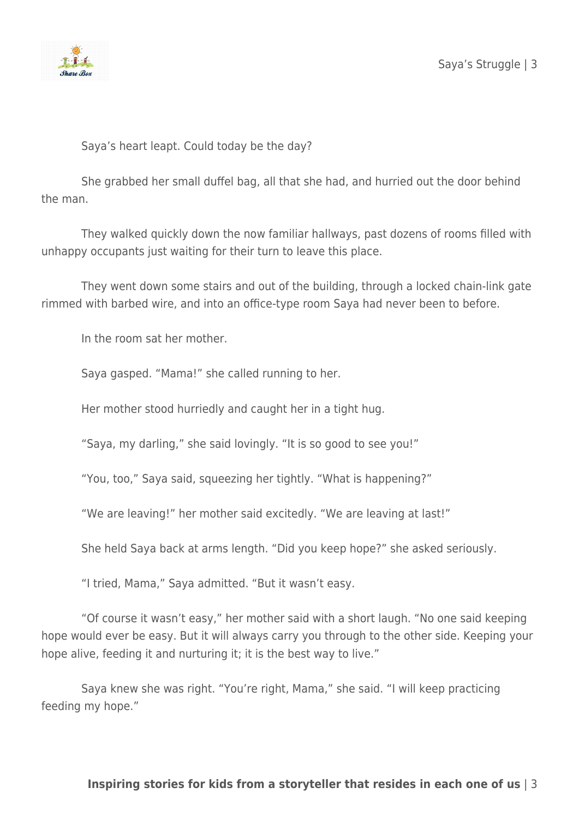

Saya's heart leapt. Could today be the day?

 She grabbed her small duffel bag, all that she had, and hurried out the door behind the man.

 They walked quickly down the now familiar hallways, past dozens of rooms filled with unhappy occupants just waiting for their turn to leave this place.

 They went down some stairs and out of the building, through a locked chain-link gate rimmed with barbed wire, and into an office-type room Saya had never been to before.

In the room sat her mother.

Saya gasped. "Mama!" she called running to her.

Her mother stood hurriedly and caught her in a tight hug.

"Saya, my darling," she said lovingly. "It is so good to see you!"

"You, too," Saya said, squeezing her tightly. "What is happening?"

"We are leaving!" her mother said excitedly. "We are leaving at last!"

She held Saya back at arms length. "Did you keep hope?" she asked seriously.

"I tried, Mama," Saya admitted. "But it wasn't easy.

 "Of course it wasn't easy," her mother said with a short laugh. "No one said keeping hope would ever be easy. But it will always carry you through to the other side. Keeping your hope alive, feeding it and nurturing it; it is the best way to live."

 Saya knew she was right. "You're right, Mama," she said. "I will keep practicing feeding my hope."